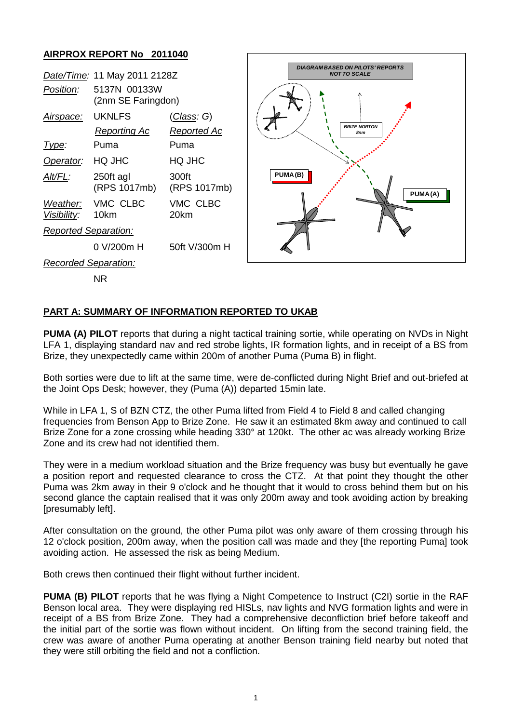## **AIRPROX REPORT No 2011040**

| Date/Time: 11 May 2011 2128Z |                                      |                                          | <b>DIAGRAM BASED ON PILOTS' REPORTS</b><br><b>NOT TO SCALE</b> |
|------------------------------|--------------------------------------|------------------------------------------|----------------------------------------------------------------|
| Position:                    | 5137N 00133W<br>(2nm SE Faringdon)   |                                          |                                                                |
| <u>Airspace:</u>             | <b>UKNLFS</b><br><b>Reporting Ac</b> | <u>(Class</u> : G)<br><b>Reported Ac</b> | <b>BRIZE NORTON</b><br>8nm<br>PUMA(B)<br>PUMA(A)               |
| Type:                        | Puma                                 | Puma                                     |                                                                |
| Operator:                    | HQ JHC                               | HQ JHC                                   |                                                                |
| Alt/FL:                      | 250ft agl<br>(RPS 1017mb)            | 300ft<br>(RPS 1017mb)                    |                                                                |
| Weather:<br>Visibility:      | VMC CLBC<br>10km                     | VMC CLBC<br>20km                         |                                                                |
| <b>Reported Separation:</b>  |                                      |                                          |                                                                |
|                              | $0$ V/200 $m$ H                      | 50ft V/300m H                            |                                                                |
| Recorded Separation:         |                                      |                                          |                                                                |
|                              | <b>NR</b>                            |                                          |                                                                |

## **PART A: SUMMARY OF INFORMATION REPORTED TO UKAB**

**PUMA (A) PILOT** reports that during a night tactical training sortie, while operating on NVDs in Night LFA 1, displaying standard nav and red strobe lights, IR formation lights, and in receipt of a BS from Brize, they unexpectedly came within 200m of another Puma (Puma B) in flight.

Both sorties were due to lift at the same time, were de-conflicted during Night Brief and out-briefed at the Joint Ops Desk; however, they (Puma (A)) departed 15min late.

While in LFA 1, S of BZN CTZ, the other Puma lifted from Field 4 to Field 8 and called changing frequencies from Benson App to Brize Zone. He saw it an estimated 8km away and continued to call Brize Zone for a zone crossing while heading 330° at 120kt. The other ac was already working Brize Zone and its crew had not identified them.

They were in a medium workload situation and the Brize frequency was busy but eventually he gave a position report and requested clearance to cross the CTZ. At that point they thought the other Puma was 2km away in their 9 o'clock and he thought that it would to cross behind them but on his second glance the captain realised that it was only 200m away and took avoiding action by breaking [presumably left].

After consultation on the ground, the other Puma pilot was only aware of them crossing through his 12 o'clock position, 200m away, when the position call was made and they [the reporting Puma] took avoiding action. He assessed the risk as being Medium.

Both crews then continued their flight without further incident.

**PUMA (B) PILOT** reports that he was flying a Night Competence to Instruct (C2I) sortie in the RAF Benson local area. They were displaying red HISLs, nav lights and NVG formation lights and were in receipt of a BS from Brize Zone. They had a comprehensive deconfliction brief before takeoff and the initial part of the sortie was flown without incident. On lifting from the second training field, the crew was aware of another Puma operating at another Benson training field nearby but noted that they were still orbiting the field and not a confliction.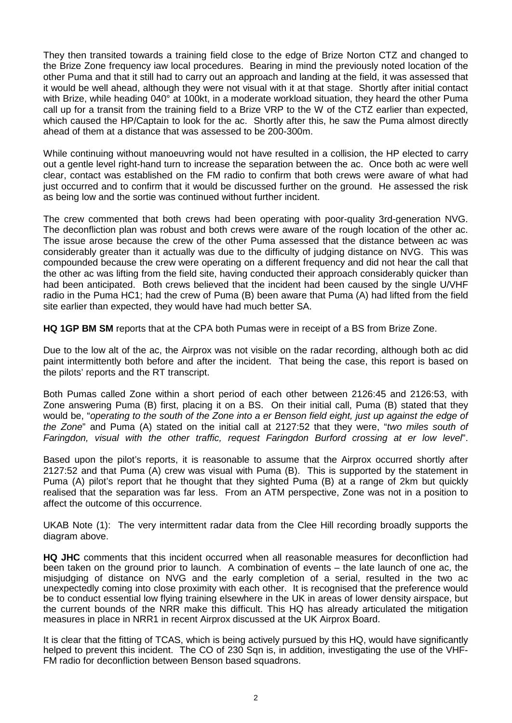They then transited towards a training field close to the edge of Brize Norton CTZ and changed to the Brize Zone frequency iaw local procedures. Bearing in mind the previously noted location of the other Puma and that it still had to carry out an approach and landing at the field, it was assessed that it would be well ahead, although they were not visual with it at that stage. Shortly after initial contact with Brize, while heading 040° at 100kt, in a moderate workload situation, they heard the other Puma call up for a transit from the training field to a Brize VRP to the W of the CTZ earlier than expected, which caused the HP/Captain to look for the ac. Shortly after this, he saw the Puma almost directly ahead of them at a distance that was assessed to be 200-300m.

While continuing without manoeuvring would not have resulted in a collision, the HP elected to carry out a gentle level right-hand turn to increase the separation between the ac. Once both ac were well clear, contact was established on the FM radio to confirm that both crews were aware of what had just occurred and to confirm that it would be discussed further on the ground. He assessed the risk as being low and the sortie was continued without further incident.

The crew commented that both crews had been operating with poor-quality 3rd-generation NVG. The deconfliction plan was robust and both crews were aware of the rough location of the other ac. The issue arose because the crew of the other Puma assessed that the distance between ac was considerably greater than it actually was due to the difficulty of judging distance on NVG. This was compounded because the crew were operating on a different frequency and did not hear the call that the other ac was lifting from the field site, having conducted their approach considerably quicker than had been anticipated. Both crews believed that the incident had been caused by the single U/VHF radio in the Puma HC1; had the crew of Puma (B) been aware that Puma (A) had lifted from the field site earlier than expected, they would have had much better SA.

**HQ 1GP BM SM** reports that at the CPA both Pumas were in receipt of a BS from Brize Zone.

Due to the low alt of the ac, the Airprox was not visible on the radar recording, although both ac did paint intermittently both before and after the incident. That being the case, this report is based on the pilots' reports and the RT transcript.

Both Pumas called Zone within a short period of each other between 2126:45 and 2126:53, with Zone answering Puma (B) first, placing it on a BS. On their initial call, Puma (B) stated that they would be, "*operating to the south of the Zone into a er Benson field eight, just up against the edge of the Zone*" and Puma (A) stated on the initial call at 2127:52 that they were, "*two miles south of Faringdon, visual with the other traffic, request Faringdon Burford crossing at er low level*".

Based upon the pilot's reports, it is reasonable to assume that the Airprox occurred shortly after 2127:52 and that Puma (A) crew was visual with Puma (B). This is supported by the statement in Puma (A) pilot's report that he thought that they sighted Puma (B) at a range of 2km but quickly realised that the separation was far less. From an ATM perspective, Zone was not in a position to affect the outcome of this occurrence.

UKAB Note (1): The very intermittent radar data from the Clee Hill recording broadly supports the diagram above.

**HQ JHC** comments that this incident occurred when all reasonable measures for deconfliction had been taken on the ground prior to launch. A combination of events – the late launch of one ac, the misjudging of distance on NVG and the early completion of a serial, resulted in the two ac unexpectedly coming into close proximity with each other. It is recognised that the preference would be to conduct essential low flying training elsewhere in the UK in areas of lower density airspace, but the current bounds of the NRR make this difficult. This HQ has already articulated the mitigation measures in place in NRR1 in recent Airprox discussed at the UK Airprox Board.

It is clear that the fitting of TCAS, which is being actively pursued by this HQ, would have significantly helped to prevent this incident. The CO of 230 Sqn is, in addition, investigating the use of the VHF-FM radio for deconfliction between Benson based squadrons.